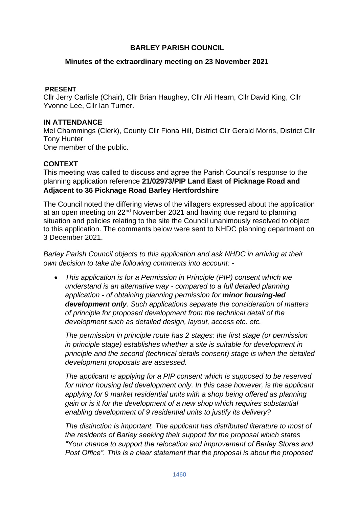# **BARLEY PARISH COUNCIL**

## **Minutes of the extraordinary meeting on 23 November 2021**

## **PRESENT**

Cllr Jerry Carlisle (Chair), Cllr Brian Haughey, Cllr Ali Hearn, Cllr David King, Cllr Yvonne Lee, Cllr Ian Turner.

#### **IN ATTENDANCE**

Mel Chammings (Clerk), County Cllr Fiona Hill, District Cllr Gerald Morris, District Cllr Tony Hunter One member of the public.

## **CONTEXT**

This meeting was called to discuss and agree the Parish Council's response to the planning application reference **21/02973/PIP Land East of Picknage Road and Adjacent to 36 Picknage Road Barley Hertfordshire**

The Council noted the differing views of the villagers expressed about the application at an open meeting on 22nd November 2021 and having due regard to planning situation and policies relating to the site the Council unanimously resolved to object to this application. The comments below were sent to NHDC planning department on 3 December 2021.

*Barley Parish Council objects to this application and ask NHDC in arriving at their own decision to take the following comments into account: -*

• *This application is for a Permission in Principle (PIP) consent which we understand is an alternative way - compared to a full detailed planning application - of obtaining planning permission for minor housing-led development only. Such applications separate the consideration of matters of principle for proposed development from the technical detail of the development such as detailed design, layout, access etc. etc.*

*The permission in principle route has 2 stages: the first stage (or permission in principle stage) establishes whether a site is suitable for development in principle and the second (technical details consent) stage is when the detailed development proposals are assessed.*

*The applicant is applying for a PIP consent which is supposed to be reserved*  for minor housing led development only. In this case however, is the applicant applying for 9 market residential units with a shop being offered as planning *gain or is it for the development of a new shop which requires substantial enabling development of 9 residential units to justify its delivery?* 

*The distinction is important. The applicant has distributed literature to most of the residents of Barley seeking their support for the proposal which states "Your chance to support the relocation and improvement of Barley Stores and Post Office". This is a clear statement that the proposal is about the proposed*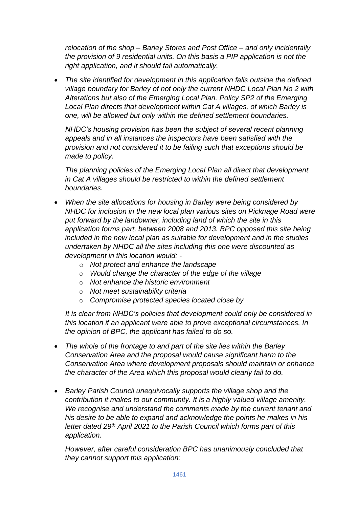*relocation of the shop – Barley Stores and Post Office – and only incidentally the provision of 9 residential units. On this basis a PIP application is not the right application, and it should fail automatically.*

• *The site identified for development in this application falls outside the defined village boundary for Barley of not only the current NHDC Local Plan No 2 with Alterations but also of the Emerging Local Plan. Policy SP2 of the Emerging Local Plan directs that development within Cat A villages, of which Barley is one, will be allowed but only within the defined settlement boundaries.*

*NHDC's housing provision has been the subject of several recent planning appeals and in all instances the inspectors have been satisfied with the provision and not considered it to be failing such that exceptions should be made to policy.*

*The planning policies of the Emerging Local Plan all direct that development in Cat A villages should be restricted to within the defined settlement boundaries.*

- *When the site allocations for housing in Barley were being considered by NHDC for inclusion in the new local plan various sites on Picknage Road were put forward by the landowner, including land of which the site in this application forms part, between 2008 and 2013. BPC opposed this site being included in the new local plan as suitable for development and in the studies undertaken by NHDC all the sites including this one were discounted as development in this location would:* 
	- o *Not protect and enhance the landscape*
	- o *Would change the character of the edge of the village*
	- o *Not enhance the historic environment*
	- o *Not meet sustainability criteria*
	- o *Compromise protected species located close by*

*It is clear from NHDC's policies that development could only be considered in this location if an applicant were able to prove exceptional circumstances. In the opinion of BPC, the applicant has failed to do so.*

- *The whole of the frontage to and part of the site lies within the Barley Conservation Area and the proposal would cause significant harm to the Conservation Area where development proposals should maintain or enhance the character of the Area which this proposal would clearly fail to do.*
- *Barley Parish Council unequivocally supports the village shop and the contribution it makes to our community. It is a highly valued village amenity. We recognise and understand the comments made by the current tenant and his desire to be able to expand and acknowledge the points he makes in his letter dated 29th April 2021 to the Parish Council which forms part of this application.*

*However, after careful consideration BPC has unanimously concluded that they cannot support this application:*